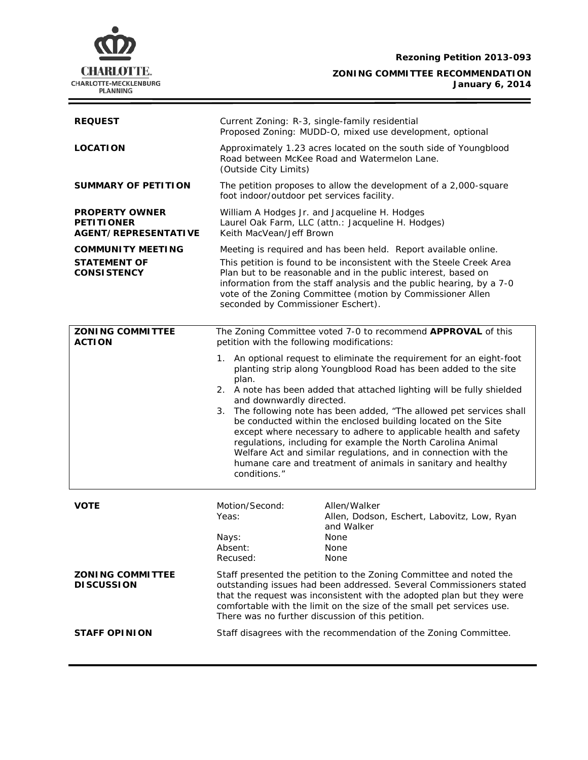

f

## **ZONING COMMITTEE RECOMMENDATION January 6, 2014**

| <b>REQUEST</b>                                                            | Current Zoning: R-3, single-family residential<br>Proposed Zoning: MUDD-O, mixed use development, optional                                                                                                                                                                                                                                                                                                                                                                                                                                                                                                                                                                                  |                                                                                           |
|---------------------------------------------------------------------------|---------------------------------------------------------------------------------------------------------------------------------------------------------------------------------------------------------------------------------------------------------------------------------------------------------------------------------------------------------------------------------------------------------------------------------------------------------------------------------------------------------------------------------------------------------------------------------------------------------------------------------------------------------------------------------------------|-------------------------------------------------------------------------------------------|
| <b>LOCATION</b>                                                           | Approximately 1.23 acres located on the south side of Youngblood<br>Road between McKee Road and Watermelon Lane.<br>(Outside City Limits)                                                                                                                                                                                                                                                                                                                                                                                                                                                                                                                                                   |                                                                                           |
| SUMMARY OF PETITION                                                       | The petition proposes to allow the development of a 2,000-square<br>foot indoor/outdoor pet services facility.                                                                                                                                                                                                                                                                                                                                                                                                                                                                                                                                                                              |                                                                                           |
| <b>PROPERTY OWNER</b><br><b>PETITIONER</b><br><b>AGENT/REPRESENTATIVE</b> | William A Hodges Jr. and Jacqueline H. Hodges<br>Laurel Oak Farm, LLC (attn.: Jacqueline H. Hodges)<br>Keith MacVean/Jeff Brown                                                                                                                                                                                                                                                                                                                                                                                                                                                                                                                                                             |                                                                                           |
| <b>COMMUNITY MEETING</b>                                                  | Meeting is required and has been held. Report available online.                                                                                                                                                                                                                                                                                                                                                                                                                                                                                                                                                                                                                             |                                                                                           |
| <b>STATEMENT OF</b><br><b>CONSISTENCY</b>                                 | This petition is found to be inconsistent with the Steele Creek Area<br>Plan but to be reasonable and in the public interest, based on<br>information from the staff analysis and the public hearing, by a 7-0<br>vote of the Zoning Committee (motion by Commissioner Allen<br>seconded by Commissioner Eschert).                                                                                                                                                                                                                                                                                                                                                                          |                                                                                           |
| <b>ZONING COMMITTEE</b><br><b>ACTION</b>                                  | The Zoning Committee voted 7-0 to recommend APPROVAL of this<br>petition with the following modifications:                                                                                                                                                                                                                                                                                                                                                                                                                                                                                                                                                                                  |                                                                                           |
|                                                                           | An optional request to eliminate the requirement for an eight-foot<br>1.<br>planting strip along Youngblood Road has been added to the site<br>plan.<br>2. A note has been added that attached lighting will be fully shielded<br>and downwardly directed.<br>3. The following note has been added, "The allowed pet services shall<br>be conducted within the enclosed building located on the Site<br>except where necessary to adhere to applicable health and safety<br>regulations, including for example the North Carolina Animal<br>Welfare Act and similar regulations, and in connection with the<br>humane care and treatment of animals in sanitary and healthy<br>conditions." |                                                                                           |
| <b>VOTE</b>                                                               | Motion/Second:<br>Yeas:<br>Nays:<br>Absent:                                                                                                                                                                                                                                                                                                                                                                                                                                                                                                                                                                                                                                                 | Allen/Walker<br>Allen, Dodson, Eschert, Labovitz, Low, Ryan<br>and Walker<br>None<br>None |
|                                                                           | Recused:                                                                                                                                                                                                                                                                                                                                                                                                                                                                                                                                                                                                                                                                                    | None                                                                                      |
| <b>ZONING COMMITTEE</b><br><b>DISCUSSION</b>                              | Staff presented the petition to the Zoning Committee and noted the<br>outstanding issues had been addressed. Several Commissioners stated<br>that the request was inconsistent with the adopted plan but they were<br>comfortable with the limit on the size of the small pet services use.<br>There was no further discussion of this petition.                                                                                                                                                                                                                                                                                                                                            |                                                                                           |
| <b>STAFF OPINION</b>                                                      | Staff disagrees with the recommendation of the Zoning Committee.                                                                                                                                                                                                                                                                                                                                                                                                                                                                                                                                                                                                                            |                                                                                           |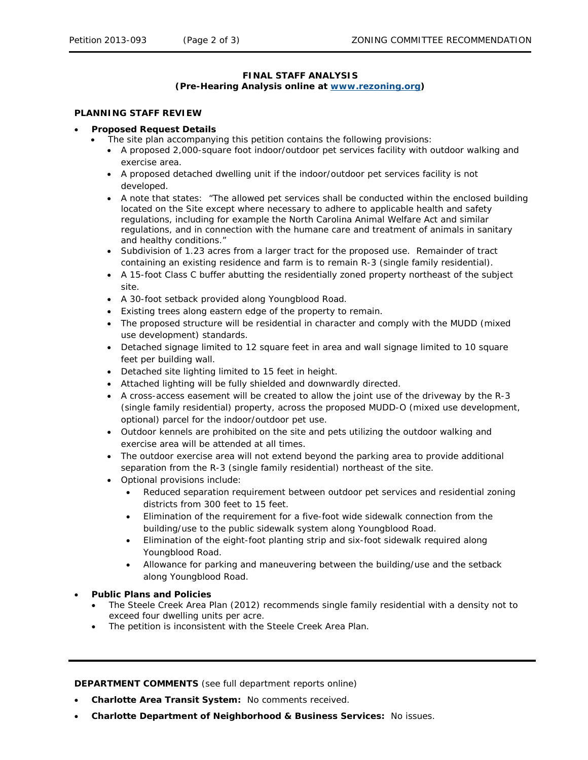# **FINAL STAFF ANALYSIS**

#### **(Pre-Hearing Analysis online at [www.rezoning.org\)](http://www.rezoning.org/)**

#### **PLANNING STAFF REVIEW**

#### • **Proposed Request Details**

- The site plan accompanying this petition contains the following provisions:
	- A proposed 2,000-square foot indoor/outdoor pet services facility with outdoor walking and exercise area.
	- A proposed detached dwelling unit if the indoor/outdoor pet services facility is not developed.
	- A note that states: "The allowed pet services shall be conducted within the enclosed building located on the Site except where necessary to adhere to applicable health and safety regulations, including for example the North Carolina Animal Welfare Act and similar regulations, and in connection with the humane care and treatment of animals in sanitary and healthy conditions."
	- Subdivision of 1.23 acres from a larger tract for the proposed use. Remainder of tract containing an existing residence and farm is to remain R-3 (single family residential).
	- A 15-foot Class C buffer abutting the residentially zoned property northeast of the subject site.
	- A 30-foot setback provided along Youngblood Road.
	- Existing trees along eastern edge of the property to remain.
	- The proposed structure will be residential in character and comply with the MUDD (mixed use development) standards.
	- Detached signage limited to 12 square feet in area and wall signage limited to 10 square feet per building wall.
	- Detached site lighting limited to 15 feet in height.
	- Attached lighting will be fully shielded and downwardly directed.
	- A cross-access easement will be created to allow the joint use of the driveway by the R-3 (single family residential) property, across the proposed MUDD-O (mixed use development, optional) parcel for the indoor/outdoor pet use.
	- Outdoor kennels are prohibited on the site and pets utilizing the outdoor walking and exercise area will be attended at all times.
	- The outdoor exercise area will not extend beyond the parking area to provide additional separation from the R-3 (single family residential) northeast of the site.
	- Optional provisions include:
		- Reduced separation requirement between outdoor pet services and residential zoning districts from 300 feet to 15 feet.
		- Elimination of the requirement for a five-foot wide sidewalk connection from the building/use to the public sidewalk system along Youngblood Road.
		- Elimination of the eight-foot planting strip and six-foot sidewalk required along Youngblood Road.
		- Allowance for parking and maneuvering between the building/use and the setback along Youngblood Road.

### • **Public Plans and Policies**

- The *Steele Creek Area Plan* (2012) recommends single family residential with a density not to exceed four dwelling units per acre.
- The petition is inconsistent with the *Steele Creek Area Plan*.

**DEPARTMENT COMMENTS** (see full department reports online)

- **Charlotte Area Transit System:** No comments received.
- **Charlotte Department of Neighborhood & Business Services:** No issues.